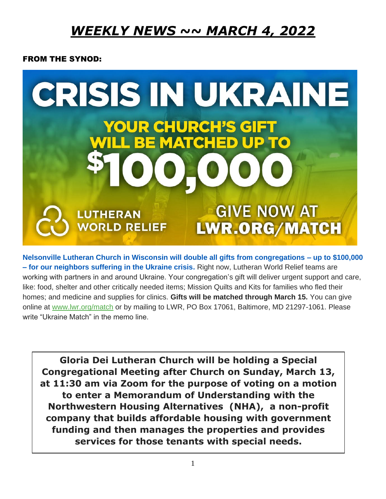# *WEEKLY NEWS ~~ MARCH 4, 2022*

#### FROM THE SYNOD:



**Nelsonville Lutheran Church in Wisconsin will double all gifts from congregations – up to \$100,000 – for our neighbors suffering in the Ukraine crisis.** Right now, Lutheran World Relief teams are working with partners in and around Ukraine. Your congregation's gift will deliver urgent support and care, like: food, shelter and other critically needed items; Mission Quilts and Kits for families who fled their homes; and medicine and supplies for clinics. **Gifts will be matched through March 15.** You can give online at [www.lwr.org/match](https://oregonsynod.us8.list-manage.com/track/click?u=ae3a96d1d43bb3c973f63ae2d&id=c2a326cc47&e=c55458bf74) or by mailing to LWR, PO Box 17061, Baltimore, MD 21297-1061. Please write "Ukraine Match" in the memo line.

**Gloria Dei Lutheran Church will be holding a Special Congregational Meeting after Church on Sunday, March 13, at 11:30 am via Zoom for the purpose of voting on a motion to enter a Memorandum of Understanding with the Northwestern Housing Alternatives (NHA), a non-profit company that builds affordable housing with government funding and then manages the properties and provides services for those tenants with special needs.**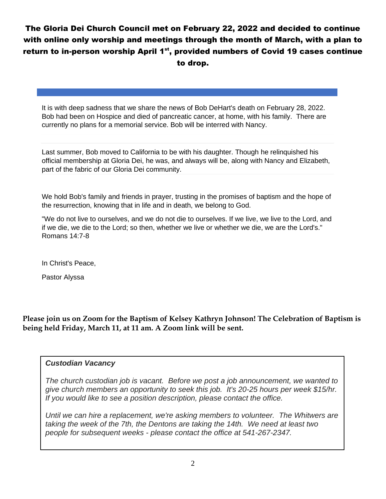## The Gloria Dei Church Council met on February 22, 2022 and decided to continue with online only worship and meetings through the month of March, with a plan to return to in-person worship April 1 $^{st}$ , provided numbers of Covid 19 cases continue to drop.

It is with deep sadness that we share the news of Bob DeHart's death on February 28, 2022. Bob had been on Hospice and died of pancreatic cancer, at home, with his family. There are currently no plans for a memorial service. Bob will be interred with Nancy.

Last summer, Bob moved to California to be with his daughter. Though he relinquished his official membership at Gloria Dei, he was, and always will be, along with Nancy and Elizabeth, part of the fabric of our Gloria Dei community.

We hold Bob's family and friends in prayer, trusting in the promises of baptism and the hope of the resurrection, knowing that in life and in death, we belong to God.

"We do not live to ourselves, and we do not die to ourselves. If we live, we live to the Lord, and if we die, we die to the Lord; so then, whether we live or whether we die, we are the Lord's." Romans 14:7-8

In Christ's Peace,

Pastor Alyssa

**Please join us on Zoom for the Baptism of Kelsey Kathryn Johnson! The Celebration of Baptism is being held Friday, March 11, at 11 am. A Zoom link will be sent.** 

#### *Custodian Vacancy*

*The church custodian job is vacant. Before we post a job announcement, we wanted to give church members an opportunity to seek this job. It's 20-25 hours per week \$15/hr. If you would like to see a position description, please contact the office.*

*Until we can hire a replacement, we're asking members to volunteer. The Whitwers are taking the week of the 7th, the Dentons are taking the 14th. We need at least two people for subsequent weeks - please contact the office at 541-267-2347.*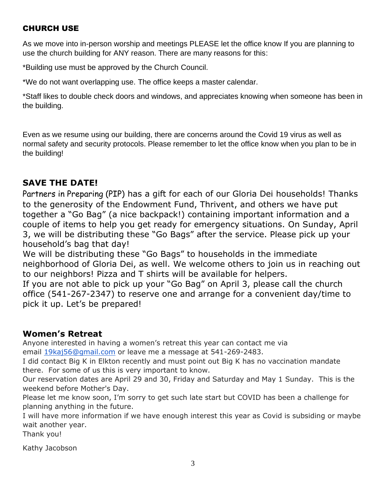### CHURCH USE

As we move into in-person worship and meetings PLEASE let the office know If you are planning to use the church building for ANY reason. There are many reasons for this:

\*Building use must be approved by the Church Council.

\*We do not want overlapping use. The office keeps a master calendar.

\*Staff likes to double check doors and windows, and appreciates knowing when someone has been in the building.

Even as we resume using our building, there are concerns around the Covid 19 virus as well as normal safety and security protocols. Please remember to let the office know when you plan to be in the building!

## **SAVE THE DATE!**

Partners in Preparing (PIP) has a gift for each of our Gloria Dei households! Thanks to the generosity of the Endowment Fund, Thrivent, and others we have put together a "Go Bag" (a nice backpack!) containing important information and a couple of items to help you get ready for emergency situations. On Sunday, April 3, we will be distributing these "Go Bags" after the service. Please pick up your household's bag that day!

We will be distributing these "Go Bags" to households in the immediate neighborhood of Gloria Dei, as well. We welcome others to join us in reaching out to our neighbors! Pizza and T shirts will be available for helpers.

If you are not able to pick up your "Go Bag" on April 3, please call the church office (541-267-2347) to reserve one and arrange for a convenient day/time to pick it up. Let's be prepared!

### **Women's Retreat**

Anyone interested in having a women's retreat this year can contact me via email 19kaj 56@gmail.com or leave me a message at 541-269-2483.

I did contact Big K in Elkton recently and must point out Big K has no vaccination mandate there. For some of us this is very important to know.

Our reservation dates are April 29 and 30, Friday and Saturday and May 1 Sunday. This is the weekend before Mother's Day.

Please let me know soon, I'm sorry to get such late start but COVID has been a challenge for planning anything in the future.

I will have more information if we have enough interest this year as Covid is subsiding or maybe wait another year.

Thank you!

Kathy Jacobson